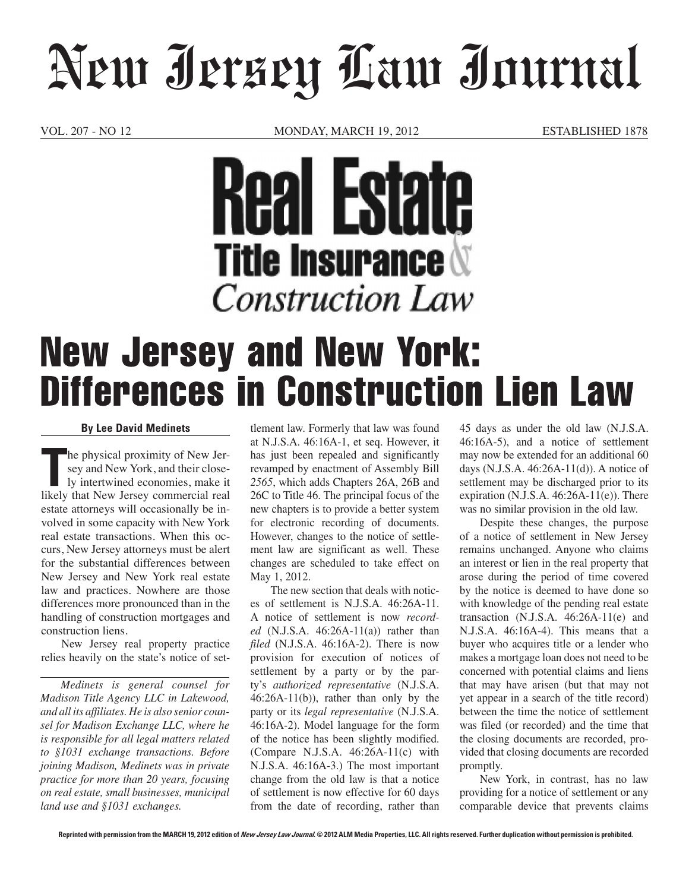## New Jersey Law Journal

VOL. 207 - NO 12 MONDAY, MARCH 19, 2012 ESTABLISHED 1878

## **Title Insurance**  $\&$ **Construction Law**

## New Jersey and New York: Differences in Construction Lien Law

## **By Lee David Medinets**

**The physical proximity of New Jersey and New York, and their closely intertwined economies, make it likely that New Jersey commercial real** he physical proximity of New Jersey and New York, and their closely intertwined economies, make it estate attorneys will occasionally be involved in some capacity with New York real estate transactions. When this occurs, New Jersey attorneys must be alert for the substantial differences between New Jersey and New York real estate law and practices. Nowhere are those differences more pronounced than in the handling of construction mortgages and construction liens.

New Jersey real property practice relies heavily on the state's notice of set-

*Medinets is general counsel for Madison Title Agency LLC in Lakewood, and all its affiliates. He is also senior counsel for Madison Exchange LLC, where he is responsible for all legal matters related to §1031 exchange transactions. Before joining Madison, Medinets was in private practice for more than 20 years, focusing on real estate, small businesses, municipal land use and §1031 exchanges.*

tlement law. Formerly that law was found at N.J.S.A. 46:16A-1, et seq. However, it has just been repealed and significantly revamped by enactment of Assembly Bill *2565*, which adds Chapters 26A, 26B and 26C to Title 46. The principal focus of the new chapters is to provide a better system for electronic recording of documents. However, changes to the notice of settlement law are significant as well. These changes are scheduled to take effect on May 1, 2012.

The new section that deals with notices of settlement is N.J.S.A. 46:26A-11. A notice of settlement is now *recorded* (N.J.S.A. 46:26A-11(a)) rather than *filed* (N.J.S.A. 46:16A-2). There is now provision for execution of notices of settlement by a party or by the party's *authorized representative* (N.J.S.A.  $46:26A-11(b)$ , rather than only by the party or its *legal representative* (N.J.S.A. 46:16A-2). Model language for the form of the notice has been slightly modified. (Compare N.J.S.A. 46:26A-11(c) with N.J.S.A. 46:16A-3.) The most important change from the old law is that a notice of settlement is now effective for 60 days from the date of recording, rather than 45 days as under the old law (N.J.S.A. 46:16A-5), and a notice of settlement may now be extended for an additional 60 days (N.J.S.A. 46:26A-11(d)). A notice of settlement may be discharged prior to its expiration (N.J.S.A. 46:26A-11(e)). There was no similar provision in the old law.

Despite these changes, the purpose of a notice of settlement in New Jersey remains unchanged. Anyone who claims an interest or lien in the real property that arose during the period of time covered by the notice is deemed to have done so with knowledge of the pending real estate transaction (N.J.S.A. 46:26A-11(e) and N.J.S.A. 46:16A-4). This means that a buyer who acquires title or a lender who makes a mortgage loan does not need to be concerned with potential claims and liens that may have arisen (but that may not yet appear in a search of the title record) between the time the notice of settlement was filed (or recorded) and the time that the closing documents are recorded, provided that closing documents are recorded promptly.

New York, in contrast, has no law providing for a notice of settlement or any comparable device that prevents claims